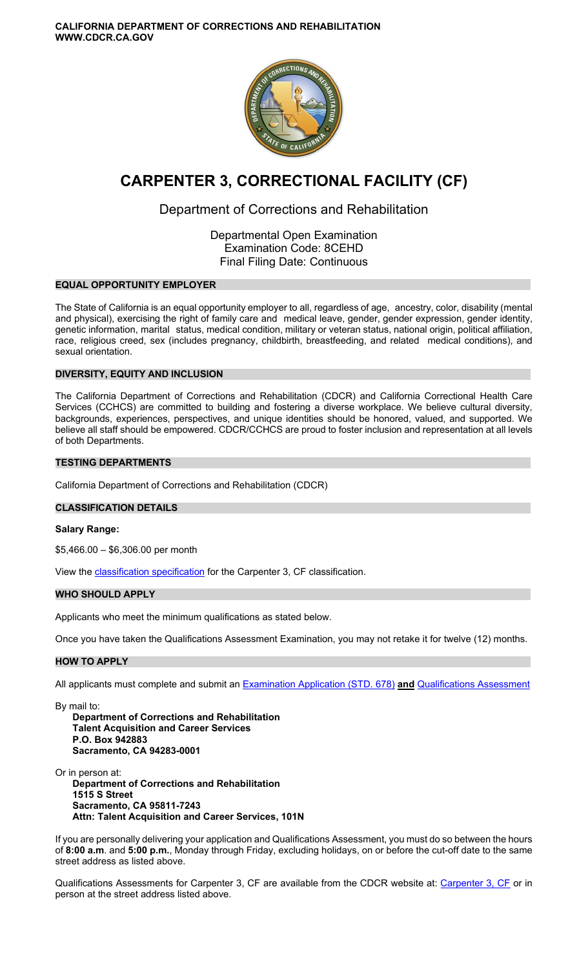**CALIFORNIA DEPARTMENT OF CORRECTIONS AND REHABILITATION WWW.CDCR.CA.GOV** 



# **CARPENTER 3, CORRECTIONAL FACILITY (CF)**

## Department of Corrections and Rehabilitation

Departmental Open Examination Examination Code: 8CEHD Final Filing Date: Continuous

## **EQUAL OPPORTUNITY EMPLOYER**

The State of California is an equal opportunity employer to all, regardless of age, ancestry, color, disability (mental and physical), exercising the right of family care and medical leave, gender, gender expression, gender identity, genetic information, marital status, medical condition, military or veteran status, national origin, political affiliation, race, religious creed, sex (includes pregnancy, childbirth, breastfeeding, and related medical conditions), and sexual orientation.

## **DIVERSITY, EQUITY AND INCLUSION**

The California Department of Corrections and Rehabilitation (CDCR) and California Correctional Health Care Services (CCHCS) are committed to building and fostering a diverse workplace. We believe cultural diversity, backgrounds, experiences, perspectives, and unique identities should be honored, valued, and supported. We believe all staff should be empowered. CDCR/CCHCS are proud to foster inclusion and representation at all levels of both Departments.

## **TESTING DEPARTMENTS**

California Department of Corrections and Rehabilitation (CDCR)

## **CLASSIFICATION DETAILS**

#### **Salary Range:**

\$5,466.00 – \$6,306.00 per month

View the [classification specification](http://www.calhr.ca.gov/state-hr-professionals/pages/6471.aspx) for the Carpenter 3, CF classification.

## **WHO SHOULD APPLY**

Applicants who meet the minimum qualifications as stated below.

Once you have taken the Qualifications Assessment Examination, you may not retake it for twelve (12) months.

## **HOW TO APPLY**

All applicants must complete and submit an [Examination Application \(STD. 678\)](https://jobs.ca.gov/pdf/STD678.pdf) **and** [Qualifications Assessment](https://www.cdcr.ca.gov/careers/carpenter3cfqao-c/) 

By mail to: **Department of Corrections and Rehabilitation Talent Acquisition and Career Services P.O. Box 942883 Sacramento, CA 94283-0001** 

Or in person at: **Department of Corrections and Rehabilitation 1515 S Street Sacramento, CA 95811-7243 Attn: Talent Acquisition and Career Services, 101N** 

If you are personally delivering your application and Qualifications Assessment, you must do so between the hours of **8:00 a.m**. and **5:00 p.m.**, Monday through Friday, excluding holidays, on or before the cut-off date to the same street address as listed above.

Qualifications Assessments for [Carpenter 3, CF](https://www.cdcr.ca.gov/careers/carpenter3cfqao-c/) are available from the CDCR website at: Carpenter 3, CF or in person at the street address listed above.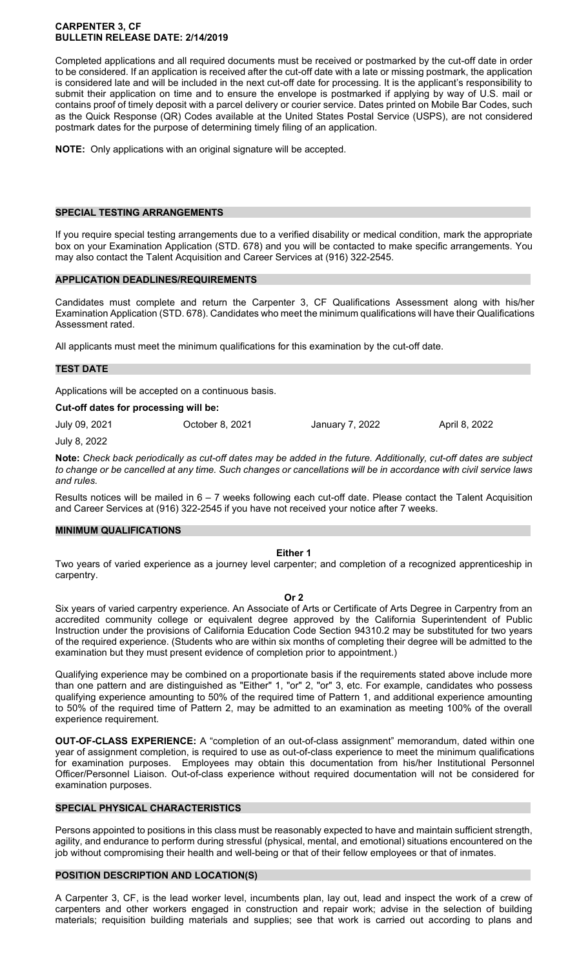## **CARPENTER 3, CF BULLETIN RELEASE DATE: 2/14/2019**

Completed applications and all required documents must be received or postmarked by the cut-off date in order to be considered. If an application is received after the cut-off date with a late or missing postmark, the application is considered late and will be included in the next cut-off date for processing. It is the applicant's responsibility to submit their application on time and to ensure the envelope is postmarked if applying by way of U.S. mail or contains proof of timely deposit with a parcel delivery or courier service. Dates printed on Mobile Bar Codes, such as the Quick Response (QR) Codes available at the United States Postal Service (USPS), are not considered postmark dates for the purpose of determining timely filing of an application.

**NOTE:** Only applications with an original signature will be accepted.

## **SPECIAL TESTING ARRANGEMENTS**

If you require special testing arrangements due to a verified disability or medical condition, mark the appropriate box on your Examination Application (STD. 678) and you will be contacted to make specific arrangements. You may also contact the Talent Acquisition and Career Services at (916) 322-2545.

## **APPLICATION DEADLINES/REQUIREMENTS**

Candidates must complete and return the Carpenter 3, CF Qualifications Assessment along with his/her Examination Application (STD. 678). Candidates who meet the minimum qualifications will have their Qualifications Assessment rated.

All applicants must meet the minimum qualifications for this examination by the cut-off date.

## **TEST DATE**

Applications will be accepted on a continuous basis.

#### **Cut-off dates for processing will be:**

July 09, 2021 October 8, 2021 January 7, 2022 April 8, 2022 July 8, 2022

**Note:** *Check back periodically as cut-off dates may be added in the future. Additionally, cut-off dates are subject to change or be cancelled at any time. Such changes or cancellations will be in accordance with civil service laws and rules.* 

Results notices will be mailed in  $6 - 7$  weeks following each cut-off date. Please contact the Talent Acquisition and Career Services at (916) 322-2545 if you have not received your notice after 7 weeks.

#### **MINIMUM QUALIFICATIONS**

## **Either 1**

Two years of varied experience as a journey level carpenter; and completion of a recognized apprenticeship in carpentry.

#### **Or 2**

Six years of varied carpentry experience. An Associate of Arts or Certificate of Arts Degree in Carpentry from an accredited community college or equivalent degree approved by the California Superintendent of Public Instruction under the provisions of California Education Code Section 94310.2 may be substituted for two years of the required experience. (Students who are within six months of completing their degree will be admitted to the examination but they must present evidence of completion prior to appointment.)

Qualifying experience may be combined on a proportionate basis if the requirements stated above include more than one pattern and are distinguished as "Either" 1, "or" 2, "or" 3, etc. For example, candidates who possess qualifying experience amounting to 50% of the required time of Pattern 1, and additional experience amounting to 50% of the required time of Pattern 2, may be admitted to an examination as meeting 100% of the overall experience requirement.

**OUT-OF-CLASS EXPERIENCE:** A "completion of an out-of-class assignment" memorandum, dated within one year of assignment completion, is required to use as out-of-class experience to meet the minimum qualifications for examination purposes. Employees may obtain this documentation from his/her Institutional Personnel Officer/Personnel Liaison. Out-of-class experience without required documentation will not be considered for examination purposes.

## **SPECIAL PHYSICAL CHARACTERISTICS**

Persons appointed to positions in this class must be reasonably expected to have and maintain sufficient strength, agility, and endurance to perform during stressful (physical, mental, and emotional) situations encountered on the job without compromising their health and well-being or that of their fellow employees or that of inmates.

## **POSITION DESCRIPTION AND LOCATION(S)**

A Carpenter 3, CF, is the lead worker level, incumbents plan, lay out, lead and inspect the work of a crew of carpenters and other workers engaged in construction and repair work; advise in the selection of building materials; requisition building materials and supplies; see that work is carried out according to plans and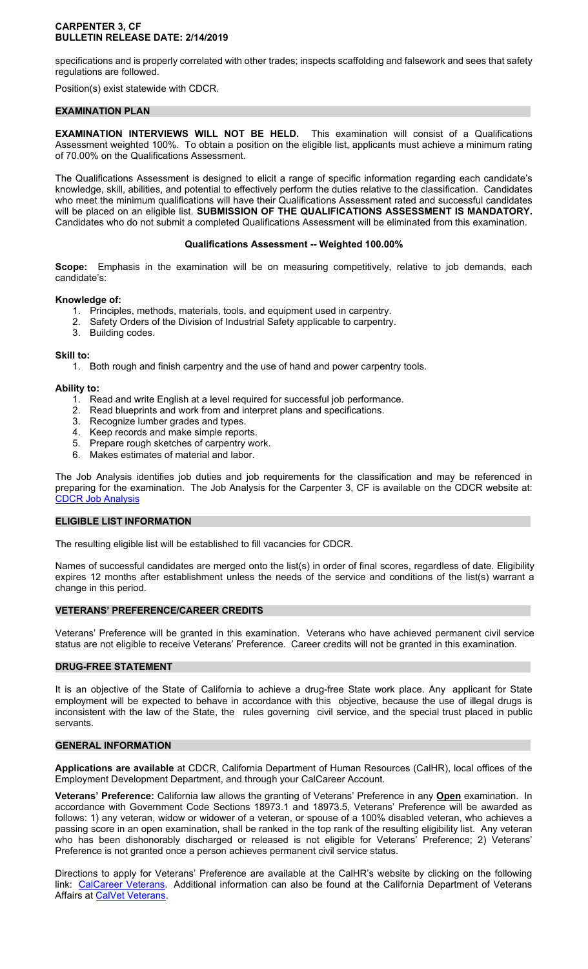## **CARPENTER 3, CF BULLETIN RELEASE DATE: 2/14/2019**

specifications and is properly correlated with other trades; inspects scaffolding and falsework and sees that safety regulations are followed.

Position(s) exist statewide with CDCR.

## **EXAMINATION PLAN**

**EXAMINATION INTERVIEWS WILL NOT BE HELD.** This examination will consist of a Qualifications Assessment weighted 100%. To obtain a position on the eligible list, applicants must achieve a minimum rating of 70.00% on the Qualifications Assessment.

The Qualifications Assessment is designed to elicit a range of specific information regarding each candidate's knowledge, skill, abilities, and potential to effectively perform the duties relative to the classification. Candidates who meet the minimum qualifications will have their Qualifications Assessment rated and successful candidates will be placed on an eligible list. **SUBMISSION OF THE QUALIFICATIONS ASSESSMENT IS MANDATORY.**  Candidates who do not submit a completed Qualifications Assessment will be eliminated from this examination.

## **Qualifications Assessment -- Weighted 100.00%**

**Scope:** Emphasis in the examination will be on measuring competitively, relative to job demands, each candidate's:

## **Knowledge of:**

- 1. Principles, methods, materials, tools, and equipment used in carpentry.
- 2. Safety Orders of the Division of Industrial Safety applicable to carpentry.
- 3. Building codes.

## **Skill to:**

1. Both rough and finish carpentry and the use of hand and power carpentry tools.

## **Ability to:**

- 1. Read and write English at a level required for successful job performance.
- 2. Read blueprints and work from and interpret plans and specifications.
- 3. Recognize lumber grades and types.
- 4. Keep records and make simple reports.
- 5. Prepare rough sketches of carpentry work.
- 6. Makes estimates of material and labor.

The Job Analysis identifies job duties and job requirements for the classification and may be referenced in preparing for the examination. The Job Analysis for the Carpenter 3, CF is available on the CDCR website at: [CDCR Job Analysis](https://www.cdcr.ca.gov/Career_Opportunities/HR/OPS/Exams/Analysis/index.html) 

## **ELIGIBLE LIST INFORMATION**

The resulting eligible list will be established to fill vacancies for CDCR.

Names of successful candidates are merged onto the list(s) in order of final scores, regardless of date. Eligibility expires 12 months after establishment unless the needs of the service and conditions of the list(s) warrant a change in this period.

## **VETERANS' PREFERENCE/CAREER CREDITS**

Veterans' Preference will be granted in this examination. Veterans who have achieved permanent civil service status are not eligible to receive Veterans' Preference. Career credits will not be granted in this examination.

## **DRUG-FREE STATEMENT**

It is an objective of the State of California to achieve a drug-free State work place. Any applicant for State employment will be expected to behave in accordance with this objective, because the use of illegal drugs is inconsistent with the law of the State, the rules governing civil service, and the special trust placed in public servants.

#### **GENERAL INFORMATION**

**Applications are available** at CDCR, California Department of Human Resources (CalHR), local offices of the Employment Development Department, and through your CalCareer Account.

**Veterans' Preference:** California law allows the granting of Veterans' Preference in any **Open** examination. In accordance with Government Code Sections 18973.1 and 18973.5, Veterans' Preference will be awarded as follows: 1) any veteran, widow or widower of a veteran, or spouse of a 100% disabled veteran, who achieves a passing score in an open examination, shall be ranked in the top rank of the resulting eligibility list. Any veteran who has been dishonorably discharged or released is not eligible for Veterans' Preference; 2) Veterans' Preference is not granted once a person achieves permanent civil service status.

Directions to apply for Veterans' Preference are available at the CalHR's website by clicking on the following link: [CalCareer Veterans.](https://jobs.ca.gov/CalHRPublic/Landing/Veterans.aspx) Additional information can also be found at the California Department of Veterans Affairs at [CalVet Veterans.](http://www.calvet.ca.gov/veteran-services-benefits/employment)